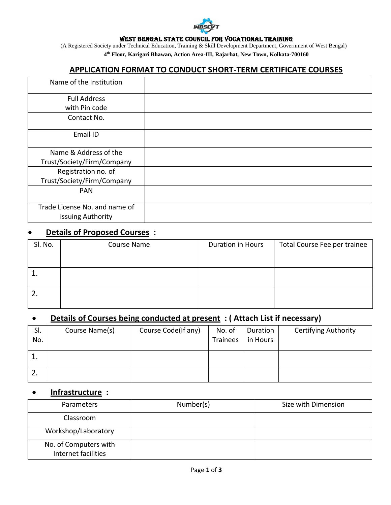

#### WEST BENGAL STATE COUNCIL FOR VOCATIONAL TRAINING

(A Registered Society under Technical Education, Training & Skill Development Department, Government of West Bengal) **4 th Floor, Karigari Bhawan, Action Area-III, Rajarhat, New Town, Kolkata-700160**

### **APPLICATION FORMAT TO CONDUCT SHORT-TERM CERTIFICATE COURSES**

| Name of the Institution                            |  |
|----------------------------------------------------|--|
| <b>Full Address</b>                                |  |
| with Pin code                                      |  |
| Contact No.                                        |  |
| Email ID                                           |  |
| Name & Address of the                              |  |
| Trust/Society/Firm/Company                         |  |
| Registration no. of                                |  |
| Trust/Society/Firm/Company                         |  |
| <b>PAN</b>                                         |  |
| Trade License No. and name of<br>issuing Authority |  |

## **Details of Proposed Courses :**

| SI. No. | Course Name | Duration in Hours | Total Course Fee per trainee |  |
|---------|-------------|-------------------|------------------------------|--|
|         |             |                   |                              |  |
|         |             |                   |                              |  |
|         |             |                   |                              |  |

# **Details of Courses being conducted at present : ( Attach List if necessary)**

| SI.<br>No. | Course Name(s) | Course Code(If any) | No. of<br><b>Trainees</b> | Duration<br>in Hours | <b>Certifying Authority</b> |
|------------|----------------|---------------------|---------------------------|----------------------|-----------------------------|
| ᅩ          |                |                     |                           |                      |                             |
|            |                |                     |                           |                      |                             |

#### **Infrastructure :**

| <b>Parameters</b>                            | Number(s) | Size with Dimension |
|----------------------------------------------|-----------|---------------------|
| Classroom                                    |           |                     |
| Workshop/Laboratory                          |           |                     |
| No. of Computers with<br>Internet facilities |           |                     |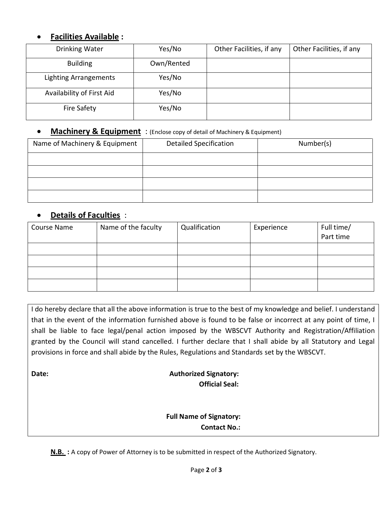### **Facilities Available :**

| Drinking Water            | Yes/No     | Other Facilities, if any | Other Facilities, if any |
|---------------------------|------------|--------------------------|--------------------------|
| <b>Building</b>           | Own/Rented |                          |                          |
| Lighting Arrangements     | Yes/No     |                          |                          |
| Availability of First Aid | Yes/No     |                          |                          |
| <b>Fire Safety</b>        | Yes/No     |                          |                          |

#### **Machinery & Equipment** : (Enclose copy of detail of Machinery & Equipment)

| Name of Machinery & Equipment | <b>Detailed Specification</b> | Number(s) |
|-------------------------------|-------------------------------|-----------|
|                               |                               |           |
|                               |                               |           |
|                               |                               |           |
|                               |                               |           |

## **Details of Faculties** :

| <b>Course Name</b> | Name of the faculty | Qualification | Experience | Full time/ |
|--------------------|---------------------|---------------|------------|------------|
|                    |                     |               |            | Part time  |
|                    |                     |               |            |            |
|                    |                     |               |            |            |
|                    |                     |               |            |            |
|                    |                     |               |            |            |

I do hereby declare that all the above information is true to the best of my knowledge and belief. I understand that in the event of the information furnished above is found to be false or incorrect at any point of time, I shall be liable to face legal/penal action imposed by the WBSCVT Authority and Registration/Affiliation granted by the Council will stand cancelled. I further declare that I shall abide by all Statutory and Legal provisions in force and shall abide by the Rules, Regulations and Standards set by the WBSCVT.

### **Date: Contract Contract Contract Contract Contract Contract Contract Contract Contract Contract Contract Contract Contract Contract Contract Contract Contract Contract Contract Contract Contract Contract Contract Contra Official Seal:**

### **Full Name of Signatory: Contact No.:**

**N.B. :** A copy of Power of Attorney is to be submitted in respect of the Authorized Signatory.